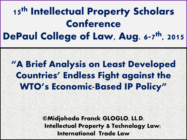#### 15<sup>th</sup> Intellectual Property Scholars Conference DePaul College of Law, Aug. 6-7<sup>th</sup>, 2015

#### "A Brief Analysis on Least Developed Countries' Endless Fight against the WTO's Economic-Based IP Policy"

©Midjohodo Franck GLOGLO, LL.D. Intellectual Property & Technology Law; International Trade Law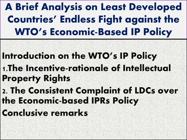A Brief Analysis on Least Developed Countries' Endless Fight against the WTO's Economic-Based IP Policy

Introduction on the WTO's IP Policy 1.The Incentive-rationale of Intellectual Property Rights

2. The Consistent Complaint of LDCs over the Economic-based IPRs Policy

Conclusive remarks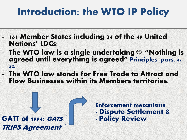#### Introduction: the WTO IP Policy

- 161 Member States including 34 of the 49 United Nations' LDCs;
- The WTO law is a single undertaking  $\Leftrightarrow$  "Nothing is agreed until everything is agreed" Principles, pars. 47- 52;
- The WTO law stands for Free Trade to Attract and Flow Businesses within its Members territories.

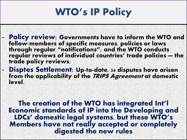#### WTO's IP Policy

- Policy review: Governments have to inform the WTO and fellow-members of specific measures, policies or laws through regular "notifications"; and the WTO conducts regular reviews of individual countries' trade policies — the trade policy reviews;
- Disptes Settlement: Up-to-date, 34 disputes have arisen from the applicability of the TRIPS Agreement at domestic level.

The creation of the WTO has integrated Int'l Economic standards of IP into the Developing and LDCs' domestic legal systems, but these WTO's Members have not really accepted or completely digested the new rules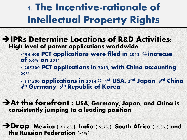- IPRs Determine Locations of R&D Activities: High level of patent applications worldwide:
	- $-194,400$  PCT applications were filed in 2012  $\Leftrightarrow$  increase of 6.6% on 2011
	- **-** 205300 PCT applications in 2013, with China accounting 29%
	- 214500 applications in 2014 $\Leftrightarrow$  1st USA, 2<sup>nd</sup> Japan, 3<sup>rd</sup> China, 4<sup>th</sup> Germany, 5th Republic of Korea
- At the forefront : USA, Germany, Japan, and China is consistently jumping to a leading position
- Drop: Mexico (-15.6%), India (-9.2%), South Africa (-5.3%) and the Russian Federation (-4%)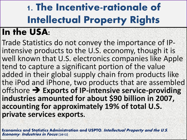#### **In the USA:**

Trade Statistics do not convey the importance of IPintensive products to the U.S. economy, though it is well known that U.S. electronics companies like Apple tend to capture a significant portion of the value added in their global supply chain from products like the iPod and iPhone, two products that are assembled offshore **Exports of IP-intensive service-providing industries amounted for about \$90 billion in 2007, accounting for approximately 19% of total U.S. private services exports.**

**Economics and Statistics Administration and USPTO, Intellectual Property and the U.S. Economy: Industries in Focus (2012)**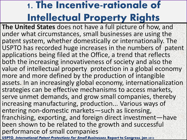**The United States** does not have a full picture of how, and under what circumstances, small businesses are using the patent system, whether domestically or internationally. The USPTO has recorded huge increases in the numbers of patent applications being filed at the Office, a trend that reflects both the increasing innovativeness of society and also the value of intellectual property protection in a global economy more and more defined by the production of intangible assets. In an increasingly global economy, internationalization strategies can be effective mechanisms to access markets, serve unmet demands, and grow small companies, thereby increasing manufacturing, production... Various ways of entering non-domestic markets—such as licensing, franchising, exporting, and foreign direct investment—have been shown to be related to the growth and successful performance of small companies

**USPTO, International Patent Protections For Small Businesses, Report to Congress, jan 2012**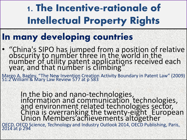#### **In many developing countries**

• "China's SIPO has jumped from a position of relative obscurity to number three in the world in the number of utility patent applications received each year, and that number is climbing"

Margo A. Bagley, "The New Invention Creation Activity Boundary in Patent Law" (2009) 51:2 William & Mary Law Review 577 at p 583

> In the bio and nano-technologies, information and communication technologies, and environment related technologies sector, China is overranking the twenty-eight European Union Members'achievements altogether

OECD, OECD Science, Technology and Industry Outlook 2014, OECD Publishing, Paris, 2014 at p 294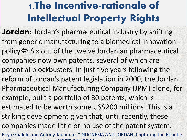- **Jordan**: Jordan's pharmaceutical industry by shifting from generic manufacturing to a biomedical innovation policy⇔ Six out of the twelve Jordanian pharmaceutical companies now own patents, several of which are potential blockbusters. In just five years following the reform of Jordan's patent legislation in 2000, the Jordan Pharmaceutical Manufacturing Company (JPM) alone, for example, built a portfolio of 30 patents, which is estimated to be worth some US\$200 millions. This is a striking development given that, until recently, these companies made little or no use of the patent system. Roya Ghafele and Antony Taubman, "INDONESIA AND JORDAN: Capturing the Benefits
- $\cdots$   $\cdots$   $\cdots$   $\cdots$   $\cdots$   $\cdots$   $\cdots$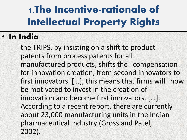#### • In India

the TRIPS, by insisting on a shift to product patents from process patents for all manufactured products, shifts the compensation for innovation creation, from second innovators to first innovators. […], this means that firms will now be motivated to invest in the creation of innovation and become first innovators. […]. According to a recent report, there are currently about 23,000 manufacturing units in the Indian pharmaceutical industry (Gross and Patel, 2002).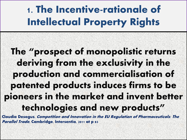#### The "prospect of monopolistic returns deriving from the exclusivity in the production and commercialisation of patented products induces firms to be pioneers in the market and invent better technologies and new products"

Claudia Desogus, Competition and Innovation in the EU Regulation of Pharmaceuticals: The Parallel Trade, Cambridge, Intersentia, 2011 at p 83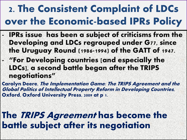- IPRs issue has been a subject of criticisms from the Developing and LDCs regrouped under G77, since the Uruguay Round (1986-1994) of the GATT of 1947.
- "For Developing countries [and especially the LDCs], a second battle began after the TRIPS negotiations"

Carolyn Deere, The Implementation Game: The TRIPS Agreement and the Global Politics of Intellectual Property Reform in Developing Countries, Oxford, Oxford University Press, 2009 at p 1.

#### The TRIPS Agreement has become the battle subject after its negotiation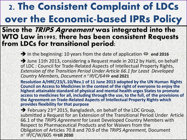#### Since the TRIPS Agreement was integrated into the WTO Law in1995, there has been consistent Requests from LDCs for transitional period:

In the beginning: 10 years from the date of application  $\Leftrightarrow$  end 2016

 $\rightarrow$  June 11th 2013, considering a Request made in 2012 by Haiti, on behalf of LDC : Council for Trade-Related Aspects of Intellectual Property Rights, *Extension of the Transition Period Under Article 66.1 for Least Developed Country Members, Document n*° *IP/C/64* **end 2021** 

**Resolution A/HRC/23/L.10/Rev.1 of 11 June 2013 adopted by the UN Human Rights Council on Access to Medicines in the context of the right of everyone to enjoy the highest attainable standard of physical and mental health urges States to promote access to medicines for all, including through the use, to the full, of the provisions of the Agreement on Trade-Related Aspects of Intellectual Property Rights which provides flexibility for that purpose**

 $\rightarrow$  February 23<sup>rd</sup> 2015, Bangladesh, on behalf of the LDC Group, submitted a Request for an Extension of the Transitional Period Under Article 66.1 of the *TRIPS Agreement* for Least Developed Country Members with Respect to Pharmaceutical Products and for Waivers from the Obligation of Articles 70.8 and 70.9 of the *TRIPS Agreement,* Document n° IP/C/W/605 **till 2030**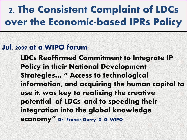#### Jul. 2009 at a WIPO forum:

LDCs Reaffirmed Commitment to Integrate IP Policy in their National Development Strategies… " Access to technological information, and acquiring the human capital to use it, was key to realizing the creative potential of LDCs, and to speeding their integration into the global knowledge economy" Dr. Francis Gurry, D.-G. WIPO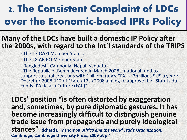#### **Many of the LDCs have built a domestic IP Policy after the 2000s, with regard to the Int'l standards of the TRIPS**

- **-** The 17 OAPI Member States,
- **-** The 18 ARIPO Member States,
- **-** Bangladesh, Cambodia, Nepal, Vanuatu

**-** The Republic of Benin decreed in March 2008 a national fund to support cultural creations with 1billion francs CFA $\Leftrightarrow$  2millions \$US a year : Decret n° 2008-112 of March 12th 2008 aiming to approve the "Statuts du Fonds d'Aide à la Culture (FAC)".

**LDCs' position "is often distorted by exaggeration and, sometimes, by pure diplomatic gestures. It has become increasingly difficult to distinguish genuine trade issue from propaganda and purely ideological stances" Richard E. Mshomba,** *Africa and the World Trade Organization***, Cambridge, Cambridge University Press, 2009 at p 4**